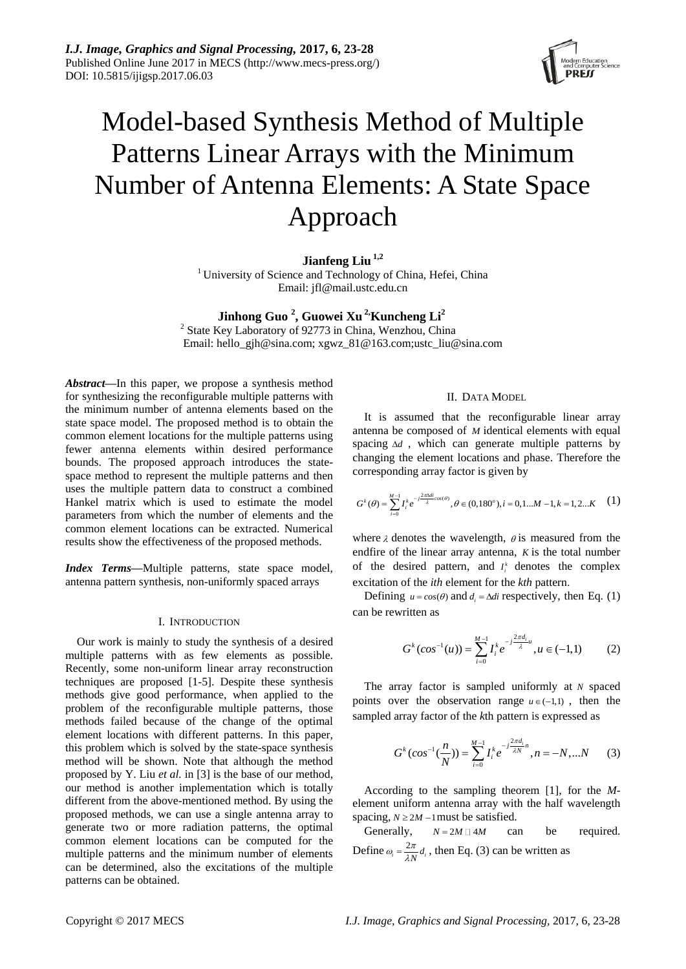

# Model-based Synthesis Method of Multiple Patterns Linear Arrays with the Minimum Number of Antenna Elements: A State Space Approach

# **Jianfeng Liu 1,2**

<sup>1</sup> University of Science and Technology of China, Hefei, China Email: [jfl@mail.ustc.edu.cn](mailto:jfl@mail.ustc.edu.cn)

# **Jinhong Guo <sup>2</sup> , Guowei Xu 2,Kuncheng Li<sup>2</sup>**

<sup>2</sup> State Key Laboratory of 92773 in China, Wenzhou, China Email: hello\_gjh@sina.com; xgwz\_81@163.com;ustc\_liu@sina.com

*Abstract***—**In this paper, we propose a synthesis method for synthesizing the reconfigurable multiple patterns with the minimum number of antenna elements based on the state space model. The proposed method is to obtain the common element locations for the multiple patterns using fewer antenna elements within desired performance bounds. The proposed approach introduces the statespace method to represent the multiple patterns and then uses the multiple pattern data to construct a combined Hankel matrix which is used to estimate the model parameters from which the number of elements and the common element locations can be extracted. Numerical results show the effectiveness of the proposed methods.

*Index Terms***—**Multiple patterns, state space model, antenna pattern synthesis, non-uniformly spaced arrays

## I. INTRODUCTION

Our work is mainly to study the synthesis of a desired multiple patterns with as few elements as possible. Recently, some non-uniform linear array reconstruction techniques are proposed [1-5]. Despite these synthesis methods give good performance, when applied to the problem of the reconfigurable multiple patterns, those methods failed because of the change of the optimal element locations with different patterns. In this paper, this problem which is solved by the state-space synthesis method will be shown. Note that although the method proposed by Y. Liu *et al.* in [3] is the base of our method, our method is another implementation which is totally different from the above-mentioned method. By using the proposed methods, we can use a single antenna array to generate two or more radiation patterns, the optimal common element locations can be computed for the multiple patterns and the minimum number of elements can be determined, also the excitations of the multiple patterns can be obtained.

## II. DATA MODEL

It is assumed that the reconfigurable linear array antenna be composed of *M* identical elements with equal spacing  $\Delta d$ , which can generate multiple patterns by changing the element locations and phase. Therefore the corresponding array factor is given by

$$
G^{k}(\theta) = \sum_{i=0}^{M-1} I_{i}^{k} e^{-j\frac{2\pi\lambda d i}{\lambda} \cos(\theta)}, \theta \in (0, 180^{\circ}), i = 0, 1...M-1, k = 1, 2...K \quad (1)
$$

where  $\lambda$  denotes the wavelength,  $\theta$  is measured from the endfire of the linear array antenna, *K* is the total number of the desired pattern, and  $I_i^k$  denotes the complex excitation of the *ith* element for the *kth* pattern.

Defining  $u = cos(\theta)$  and  $d_i = \Delta di$  respectively, then Eq. (1) can be rewritten as

$$
G^{k}(cos^{-1}(u)) = \sum_{i=0}^{M-1} I_i^{k} e^{-j\frac{2\pi d_i}{\lambda}u}, u \in (-1,1)
$$
 (2)

The array factor is sampled uniformly at *N* spaced points over the observation range  $u \in (-1,1)$ , then the sampled array factor of the *k*th pattern is expressed as

$$
G^{k}(cos^{-1}(\frac{n}{N})) = \sum_{i=0}^{M-1} I_{i}^{k} e^{-j\frac{2\pi d_{i}}{\lambda N}n}, n = -N, ... N
$$
 (3)

According to the sampling theorem [1], for the *M*element uniform antenna array with the half wavelength spacing,  $N \ge 2M - 1$  must be satisfied.

Generally,  $N = 2M \Box 4M$ can be required. Define  $\omega_i = \frac{2\pi}{\lambda N} d_i$  $\omega_i = \frac{2\pi}{\lambda N} d_i$ , then Eq. (3) can be written as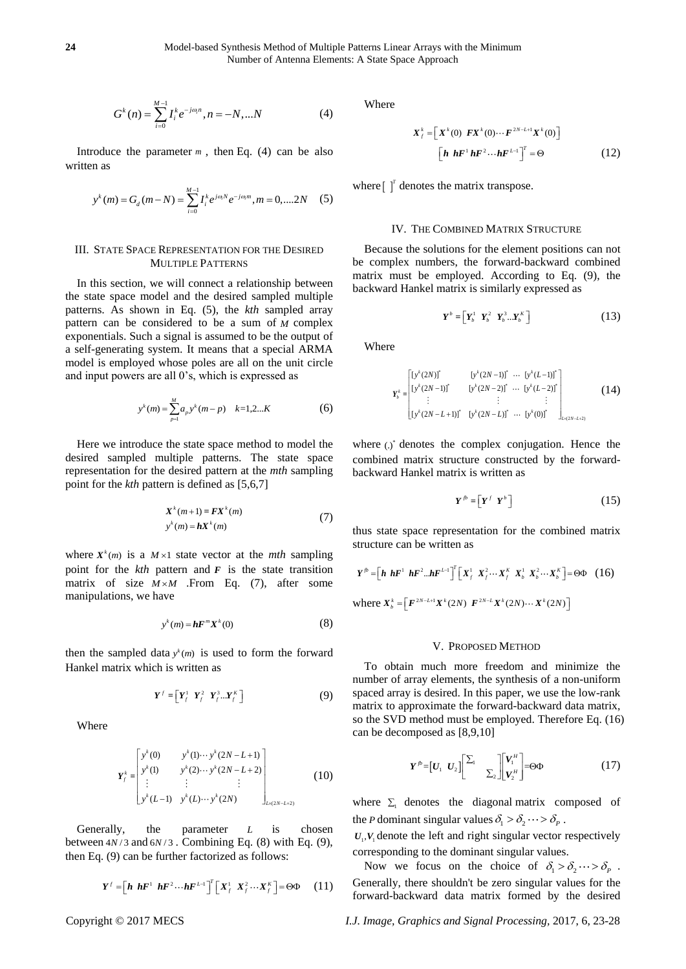$$
G^{k}(n) = \sum_{i=0}^{M-1} I_{i}^{k} e^{-j\omega_{i}n}, n = -N, ...N
$$
 (4)

Introduce the parameter  $m$ , then Eq. (4) can be also written as

$$
y^{k}(m) = G_{d}(m-N) = \sum_{i=0}^{M-1} I_{i}^{k} e^{j\omega_{i}N} e^{-j\omega_{i}m}, m = 0, \dots, 2N
$$
 (5)

## III. STATE SPACE REPRESENTATION FOR THE DESIRED MULTIPLE PATTERNS

In this section, we will connect a relationship between the state space model and the desired sampled multiple patterns. As shown in Eq. (5), the *kth* sampled array pattern can be considered to be a sum of *M* complex exponentials. Such a signal is assumed to be the output of a self-generating system. It means that a special ARMA model is employed whose poles are all on the unit circle and input powers are all 0's, which is expressed as

$$
y^{k}(m) = \sum_{p=1}^{M} a_{p} y^{k}(m-p) \quad k=1,2...K
$$
 (6)

Here we introduce the state space method to model the desired sampled multiple patterns. The state space representation for the desired pattern at the *mth* sampling point for the *kth* pattern is defined as [5,6,7]

$$
X^{k}(m+1) = FX^{k}(m)
$$
  
\n
$$
y^{k}(m) = hX^{k}(m)
$$
\n(7)

where  $X^k(m)$  is a  $M \times 1$  state vector at the *mth* sampling point for the  $kth$  pattern and  $F$  is the state transition matrix of size  $M \times M$  . From Eq. (7), after some manipulations, we have

$$
y^k(m) = hF^m X^k(0)
$$
 (8)

then the sampled data  $y^k(m)$  is used to form the forward Hankel matrix which is written as

$$
\boldsymbol{Y}^f = \begin{bmatrix} \boldsymbol{Y}_f^1 & \boldsymbol{Y}_f^2 & \boldsymbol{Y}_f^3 \dots \boldsymbol{Y}_f^K \end{bmatrix} \tag{9}
$$

Where

$$
\mathbf{Y}_{f}^{k} = \begin{bmatrix} y^{k}(0) & y^{k}(1) \cdots y^{k}(2N-L+1) \\ y^{k}(1) & y^{k}(2) \cdots y^{k}(2N-L+2) \\ \vdots & \vdots & \vdots \\ y^{k}(L-1) & y^{k}(L) \cdots y^{k}(2N) \end{bmatrix}_{L \times (2N-L+2)}
$$
\n(10)

Generally, the parameter *L* is chosen between  $4N/3$  and  $6N/3$ . Combining Eq. (8) with Eq. (9), then Eq. (9) can be further factorized as follows:

$$
\boldsymbol{Y}^f = \left[\boldsymbol{h} \boldsymbol{h} \boldsymbol{F}^1 \boldsymbol{h} \boldsymbol{F}^2 \cdots \boldsymbol{h} \boldsymbol{F}^{L-1}\right]^T \left[\boldsymbol{X}_f^1 \boldsymbol{X}_f^2 \cdots \boldsymbol{X}_f^K\right] = \boldsymbol{\Theta} \boldsymbol{\Phi} \qquad (11)
$$

Where

$$
X_f^k = \left[ \begin{array}{cc} X^k(0) & F X^k(0) \cdots F^{2N-L+1} X^k(0) \end{array} \right]
$$

$$
\left[ \begin{array}{cc} \boldsymbol{h} & \boldsymbol{h} F^1 \boldsymbol{h} F^2 \cdots \boldsymbol{h} F^{L-1} \end{array} \right]^T = \Theta
$$
 (12)

where  $\int_0^T$  denotes the matrix transpose.

#### IV. THE COMBINED MATRIX STRUCTURE

Because the solutions for the element positions can not be complex numbers, the forward-backward combined matrix must be employed. According to Eq. (9), the backward Hankel matrix is similarly expressed as

$$
\boldsymbol{Y}^b = \begin{bmatrix} \boldsymbol{Y}_b^1 & \boldsymbol{Y}_b^2 & \boldsymbol{Y}_b^3 \dots \boldsymbol{Y}_b^K \end{bmatrix} \tag{13}
$$

Where

$$
\boldsymbol{Y}_{b}^{k} = \begin{bmatrix} \left[ y^{k} (2N) \right]^{*} & \left[ y^{k} (2N-1) \right]^{*} & \cdots & \left[ y^{k} (L-1) \right]^{*} \\ \left[ y^{k} (2N-1) \right]^{*} & \left[ y^{k} (2N-2) \right]^{*} & \cdots & \left[ y^{k} (L-2) \right]^{*} \\ \vdots & \vdots & & \vdots \\ \left[ y^{k} (2N-L+1) \right]^{*} & \left[ y^{k} (2N-L) \right]^{*} & \cdots & \left[ y^{k} (0) \right]^{*} \end{bmatrix}_{L \times (2N-L+2)}
$$
(14)

where (.)<sup>\*</sup> denotes the complex conjugation. Hence the combined matrix structure constructed by the forwardbackward Hankel matrix is written as

$$
Y^{\mathit{fb}} = \left[ Y^{\mathit{f}} \ Y^{\mathit{b}} \right] \tag{15}
$$

thus state space representation for the combined matrix structure can be written as

$$
Y^{\hat{p}} = \left[\boldsymbol{h} \boldsymbol{h} \boldsymbol{F}^1 \boldsymbol{h} \boldsymbol{F}^2 \boldsymbol{\ldots} \boldsymbol{h} \boldsymbol{F}^{L-1}\right]^T \left[\boldsymbol{X}_f^1 \boldsymbol{X}_f^2 \cdots \boldsymbol{X}_f^K \boldsymbol{X}_b^1 \boldsymbol{X}_b^2 \cdots \boldsymbol{X}_b^K\right] = \Theta \Phi \quad (16)
$$

where  $X_b^k = [F^{2N-L+1}X^k(2N) \ \ F^{2N-L}X^k(2N) \cdots X^k(2N)]$ 

#### V. PROPOSED METHOD

To obtain much more freedom and minimize the number of array elements, the synthesis of a non-uniform spaced array is desired. In this paper, we use the low-rank matrix to approximate the forward-backward data matrix, so the SVD method must be employed. Therefore Eq. (16) can be decomposed as [8,9,10]

$$
Y^{\hat{p}} = [U_1 \ U_2] \begin{bmatrix} \Sigma_1 & 0 \\ 0 & \Sigma_2 \end{bmatrix} \begin{bmatrix} V_1^H \\ V_2^H \end{bmatrix} = \Theta \Phi \tag{17}
$$

where  $\Sigma_1$  denotes the [diagonal](http://dict.youdao.com/w/diagonal/) [matrix](http://dict.youdao.com/w/matrix/) composed of the *P* dominan[t singular](http://dict.youdao.com/w/singular/) [values](http://dict.youdao.com/w/value/)  $\delta_1 > \delta_2 \cdots > \delta_p$ .

 $U_1, V_1$  denote the left and right [singular](http://dict.youdao.com/w/singular/) vector respectively corresponding to the dominant [singular](http://dict.youdao.com/w/singular/) [values](http://dict.youdao.com/w/value/).

Now we focus on the choice of  $\delta_1 > \delta_2 \cdots > \delta_p$ . Generally, there shouldn't be zero singular values for the forward-backward data matrix formed by the desired

Copyright © 2017 MECS *I.J. Image, Graphics and Signal Processing,* 2017, 6, 23-28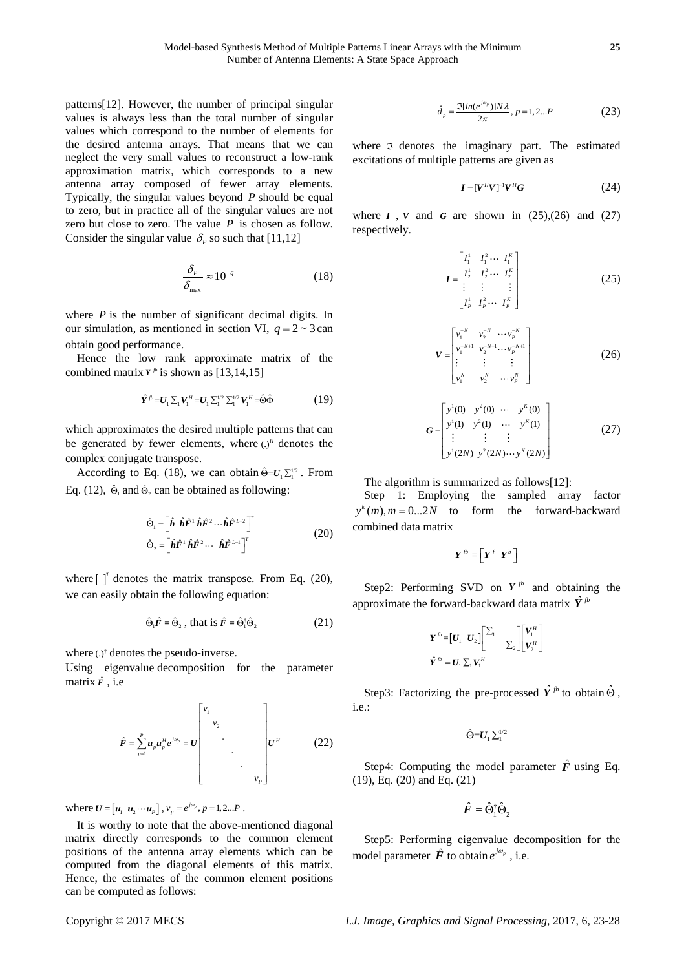patterns[12]. However, the number of principal singular values is always less than the total number of singular values which correspond to the number of elements for the desired antenna arrays. That means that we can neglect the very small values to reconstruct a low-rank approximation matrix, which corresponds to a new antenna array composed of fewer array elements. Typically, the singular values beyond *P* should be equal to zero, but in practice all of the singular values are not zero but close to zero. The value  $P$  is chosen as follow. Consider the singular value  $\delta_p$  so such that [11,12]

$$
\frac{\delta_p}{\delta_{\text{max}}} \approx 10^{-q} \tag{18}
$$

where  $P$  is the number of significant decimal digits. In our simulation, as mentioned in section VI,  $q = 2 \sim 3$  can obtain good performance.

Hence the low rank approximate matrix of the combined matrix  $Y^p$  is shown as [13,14,15]

$$
\hat{\mathbf{Y}}^{j} = \mathbf{U}_1 \sum_{1} \mathbf{V}_1^H = \mathbf{U}_1 \sum_{1}^{1/2} \sum_{1}^{1/2} \mathbf{V}_1^H = \hat{\Theta} \hat{\Phi}
$$
 (19)

which approximates the desired multiple patterns that can be generated by fewer elements, where  $(.)<sup>H</sup>$  denotes the complex conjugate transpose.

According to Eq. (18), we can obtain  $\hat{\Theta} = U_1 \sum_{i=1}^{1/2}$ . From Eq. (12),  $\hat{\Theta}_1$  and  $\hat{\Theta}_2$  can be obtained as following:

$$
\hat{\Theta}_1 = \begin{bmatrix} \hat{\boldsymbol{h}} & \hat{\boldsymbol{h}} \hat{\boldsymbol{F}}^1 & \hat{\boldsymbol{h}} \hat{\boldsymbol{F}}^2 & \cdots & \hat{\boldsymbol{h}} \hat{\boldsymbol{F}}^{L-2} \end{bmatrix}^T
$$
\n
$$
\hat{\Theta}_2 = \begin{bmatrix} \hat{\boldsymbol{h}} \hat{\boldsymbol{F}}^1 & \hat{\boldsymbol{h}} \hat{\boldsymbol{F}}^2 & \cdots & \hat{\boldsymbol{h}} \hat{\boldsymbol{F}}^{L-1} \end{bmatrix}^T
$$
\n(20)

where  $\int_1^r$  denotes the matrix transpose. From Eq. (20), we can easily obtain the following equation:

$$
\hat{\Theta}_1 \hat{\mathbf{F}} = \hat{\Theta}_2 \text{ , that is } \hat{\mathbf{F}} = \hat{\Theta}_1^{\dagger} \hat{\Theta}_2 \tag{21}
$$

where  $(.)^{\dagger}$  denotes the pseudo-inverse.

Using [eigenvalue](http://dict.youdao.com/w/eigenvalue/) [decomposition](http://dict.youdao.com/w/decomposition/) for the parameter matrix *F* ˆ , i.e

$$
\hat{F} = \sum_{p=1}^{p} u_{p} u_{p}^{u} e^{j\omega_{p}} = U \begin{bmatrix} v_{1} & & & \\ & v_{2} & & \\ & & \ddots & \\ & & & \ddots & \\ & & & & v_{p} \end{bmatrix} U^{H} \qquad (22)
$$

where  $U = [u_1 \ u_2 \cdots u_p], v_p = e^{j\omega_p}, p = 1, 2...P$ .

It is worthy to note that the above-mentioned diagonal matrix directly corresponds to the common element positions of the antenna array elements [which can](javascript:openDSC(13816978,%2037,%20) be computed from [the diagonal e](javascript:openDSC(13816978,%2037,%20)lements of this matrix. Hence, the estimates of the common element positions can be computed as follows:

$$
\hat{d}_p = \frac{\Im[ln(e^{j\omega_p})]N\lambda}{2\pi}, p = 1, 2...P
$$
 (23)

where  $\sigma$  denotes the imaginary part. The estimated excitations of multiple patterns are given as

$$
\boldsymbol{I} = [\boldsymbol{V}^H \boldsymbol{V}]^{-1} \boldsymbol{V}^H \boldsymbol{G} \tag{24}
$$

where  $I$ ,  $V$  and  $G$  are shown in  $(25),(26)$  and  $(27)$ respectively.

$$
I = \begin{bmatrix} I_1^1 & I_1^2 & \cdots & I_1^k \\ I_2^1 & I_2^2 & \cdots & I_2^k \\ \vdots & \vdots & & \vdots \\ I_P^1 & I_P^2 & \cdots & I_P^k \end{bmatrix}
$$
 (25)

$$
V = \begin{bmatrix} v_1^{-N} & v_2^{-N} & \cdots & v_p^{-N} \\ v_1^{-N+1} & v_2^{-N+1} & \cdots & v_p^{-N+1} \\ \vdots & \vdots & \vdots & \vdots \\ v_1^{N} & v_2^{N} & \cdots & v_p^{N} \end{bmatrix}
$$
 (26)

$$
G = \begin{bmatrix} y^1(0) & y^2(0) & \cdots & y^K(0) \\ y^1(1) & y^2(1) & \cdots & y^K(1) \\ \vdots & \vdots & \vdots & \vdots \\ y^1(2N) & y^2(2N) \cdots & y^K(2N) \end{bmatrix}
$$
(27)

The algorithm is [summarized](http://dict.cn/summarize) as follows[12]:

Step 1: Employing the sampled array factor  $y^k(m)$ ,  $m = 0...2N$  to form the forward-backward combined data matrix

$$
\pmb{Y}^{\mathit{fb}} = \left[ \pmb{Y}^{\mathit{f}} \ \ \pmb{Y}^{\mathit{b}} \ \right]
$$

Step2: Performing SVD on  $Y^{fb}$  and obtaining the approximate the forward-backward data matrix  $\hat{Y}^{fb}$ 

$$
\boldsymbol{Y}^{\cdot \beta} = \begin{bmatrix} \boldsymbol{U}_1 & \boldsymbol{U}_2 \end{bmatrix} \begin{bmatrix} \boldsymbol{\Sigma}_1 & & \\ & \boldsymbol{\Sigma}_2 \end{bmatrix} \begin{bmatrix} \boldsymbol{V}_1^{\cdot \prime} \\ \boldsymbol{V}_2^{\cdot \prime} \end{bmatrix}
$$

$$
\hat{\boldsymbol{Y}}^{\cdot \beta} = \boldsymbol{U}_1 \boldsymbol{\Sigma}_1 \boldsymbol{V}_1^{\cdot \prime \prime}
$$

Step3: Factorizing the pre-processed  $\hat{Y}^{fb}$  to obtain  $\hat{\Theta}$ , i.e.:

 $\hat{\Theta} = U_1 \sum_1^{1/2}$ 

Step4: Computing the model parameter  $\hat{F}$  using Eq. (19), Eq. (20) and Eq. (21)

$$
\hat{F} = \hat{\Theta}_1^{\dagger} \hat{\Theta}_2
$$

Step5: Performing [eigenvalue](http://dict.youdao.com/w/eigenvalue/) [decomposition](http://dict.youdao.com/w/decomposition/) for the model parameter  $\hat{F}$  to obtain  $e^{j\omega_p}$ , i.e.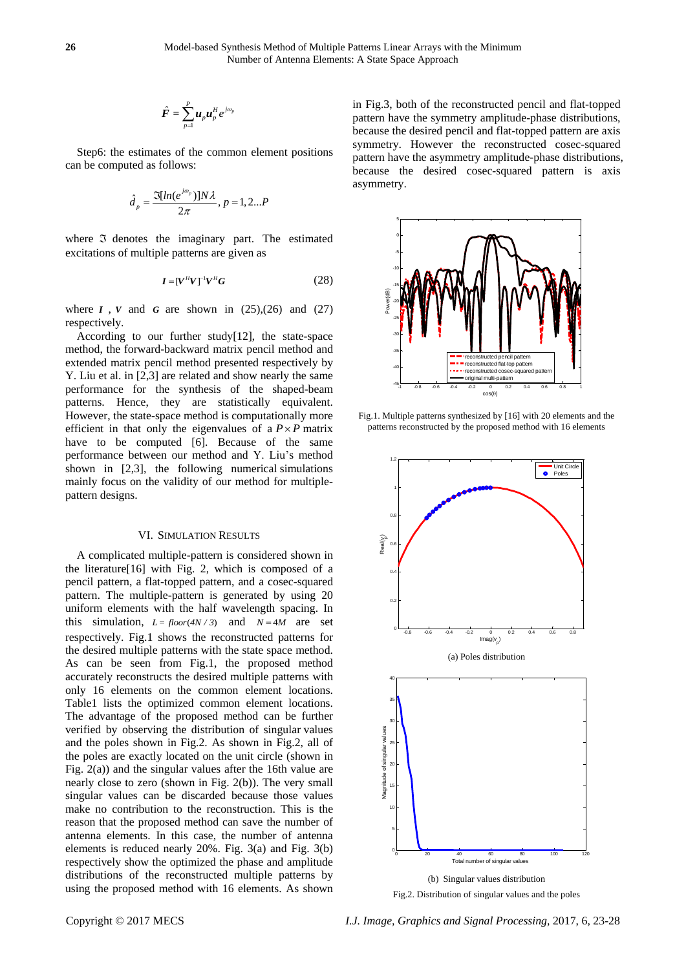$$
\hat{F} = \sum_{p=1}^P u_p u_p^H e^{j\omega_p}
$$

Step6: the estimates of the common element positions can be computed as follows:

$$
\hat{d}_p = \frac{\Im[ln(e^{j\omega_p})]N\lambda}{2\pi}, p = 1, 2...P
$$

where  $\Im$  denotes the imaginary part. The estimated excitations of multiple patterns are given as

$$
I = [V^H V]^{-1} V^H G \tag{28}
$$

where  $I$ ,  $V$  and  $G$  are shown in  $(25)$ , $(26)$  and  $(27)$ respectively.

According to our further study[12], the state-space method, the forward-backward matrix pencil method and extended matrix pencil method presented respectively by Y. Liu et al. in [2,3] are related and show nearly the same performance for the synthesis of the shaped-beam patterns. Hence, they are statistically equivalent. However, the state-space method is computationally more efficient in that only the eigenvalues of a  $P \times P$  matrix have to be computed [6]. Because of the same performance between our method and Y. Liu's method shown in [2,3], the following numerical simulations mainly focus on the validity of our method for multiplepattern designs.

#### VI. SIMULATION RESULTS

A complicated multiple-pattern is considered shown in the literature[16] with Fig. 2, which is composed of a pencil pattern, a flat-topped pattern, and a cosec-squared pattern. The multiple-pattern is generated by using 20 uniform elements with the half wavelength spacing. In this simulation,  $L = floor(4N/3)$  and  $N = 4M$  are set respectively. Fig.1 shows the reconstructed patterns for the desired multiple patterns with the state space method. As can be seen from Fig.1, the proposed method accurately reconstructs the desired multiple patterns with only 16 elements on the common element locations. Table1 lists the optimized common element locations. The advantage of the proposed method can be further verified by observing the distribution of [singular](http://dict.youdao.com/w/singular/) [values](http://dict.youdao.com/w/value/) and the poles shown in Fig.2. As shown in Fig.2, all of the poles are exactly located on the unit circle (shown in Fig. 2(a)) and the singular values after the 16th value are nearly close to zero (shown in Fig. 2(b)). The very small singular values can be discarded because those values make no contribution to the reconstruction. This is the reason that the proposed method can save the number of antenna elements. In this case, the number of antenna elements is reduced nearly 20%. Fig. 3(a) and Fig. 3(b) respectively show the optimized the phase and amplitude distributions of the reconstructed multiple patterns by using the proposed method with 16 elements. As shown

in Fig.3, both of the reconstructed pencil and flat-topped pattern have the symmetry amplitude-phase distributions, because the desired pencil and flat-topped pattern are axis symmetry. However the reconstructed cosec-squared pattern have the asymmetry amplitude-phase distributions, because the desired cosec-squared pattern is axis asymmetry.



Fig.1. Multiple patterns synthesized by [16] with 20 elements and the patterns reconstructed by the proposed method with 16 elements



Fig.2. Distribution o[f singular](http://dict.youdao.com/w/singular/) [values](http://dict.youdao.com/w/value/) and the poles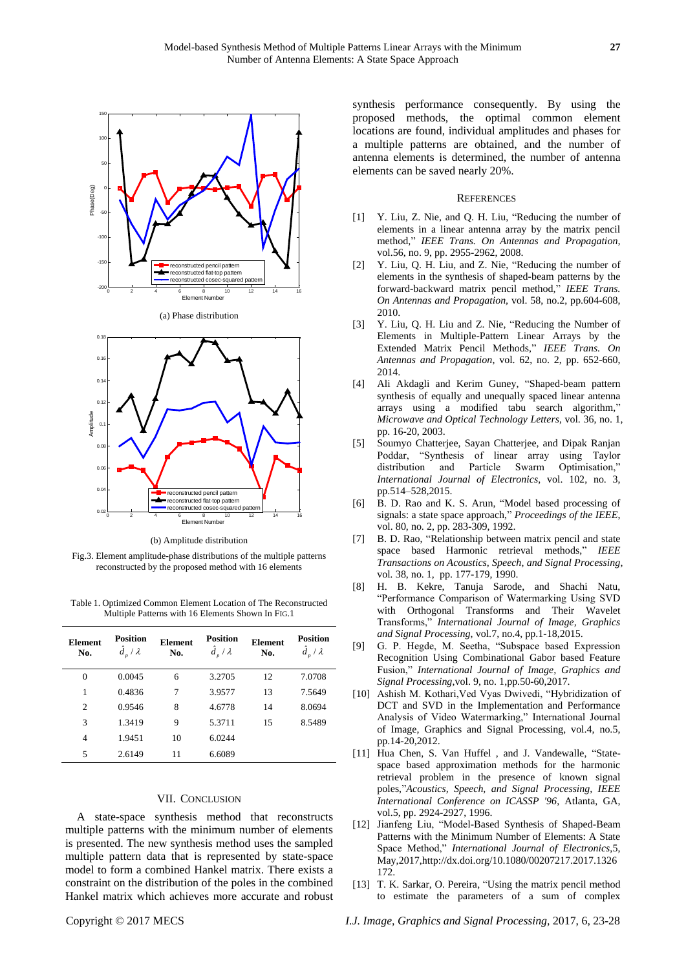





(b) Amplitude distribution

Fig.3. Element amplitude-phase distributions of the multiple patterns reconstructed by the proposed method with 16 elements

Table 1. Optimized Common Element Location of The Reconstructed Multiple Patterns with 16 Elements Shown In FIG.1

| <b>Element</b><br>No. | <b>Position</b><br>$\hat{d}_n/\lambda$ | <b>Element</b><br>No. | <b>Position</b><br>$\hat{d}_n / \lambda$ | <b>Element</b><br>No. | <b>Position</b><br>$\hat{d}_{p} / \lambda$ |
|-----------------------|----------------------------------------|-----------------------|------------------------------------------|-----------------------|--------------------------------------------|
| $\overline{0}$        | 0.0045                                 | 6                     | 3.2705                                   | 12                    | 7.0708                                     |
| 1                     | 0.4836                                 | 7                     | 3.9577                                   | 13                    | 7.5649                                     |
| $\overline{c}$        | 0.9546                                 | 8                     | 4.6778                                   | 14                    | 8.0694                                     |
| 3                     | 1.3419                                 | 9                     | 5.3711                                   | 15                    | 8.5489                                     |
| $\overline{4}$        | 1.9451                                 | 10                    | 6.0244                                   |                       |                                            |
| 5                     | 2.6149                                 | 11                    | 6.6089                                   |                       |                                            |

## VII. CONCLUSION

A state-space synthesis method that reconstructs multiple patterns with the minimum number of elements is presented. The new synthesis method uses the sampled multiple pattern data that is represented by state-space model to form a combined Hankel matrix. There exists a constraint on the distribution of the poles in the combined Hankel matrix which achieves more accurate and robust

synthesis performance consequently. By using the proposed methods, the optimal common element locations are found, individual amplitudes and phases for a multiple patterns are obtained, and the number of antenna elements is determined, the number of antenna elements can be saved nearly 20%.

#### **REFERENCES**

- [1] Y. Liu, Z. Nie, and Q. H. Liu, "Reducing the number of elements in a linear antenna array by the matrix pencil method," *IEEE Trans. On Antennas and Propagation,* vol.56, no. 9, pp. 2955-2962, 2008.
- [2] Y. Liu, Q. H. Liu, and Z. Nie, "Reducing the number of elements in the synthesis of shaped-beam patterns by the forward-backward matrix pencil method," *IEEE Trans. On Antennas and Propagation,* vol. 58, no.2, pp.604-608, 2010.
- [3] Y. Liu, Q. H. Liu and Z. Nie, "Reducing the Number of Elements in Multiple-Pattern Linear Arrays by the Extended Matrix Pencil Methods," *IEEE Trans. On Antennas and Propagation*, vol. 62, no. 2, pp. 652-660, 2014.
- [4] Ali Akdagli and Kerim Guney, "Shaped-beam pattern synthesis of equally and unequally spaced linear antenna arrays using a modified tabu search algorithm," *[Microwave and Optical Technology Letters](http://onlinelibrary.wiley.com/journal/10.1002/(ISSN)1098-2760)*, vol. 36, no. 1, pp. 16-20, 2003.
- [5] Soumyo Chatterjee, Sayan Chatterjee, and Dipak Ranjan Poddar, "Synthesis of linear array using Taylor distribution and Particle Swarm Optimisation," *International Journal of Electronics*, vol. 102, no. 3, pp.514–528,2015.
- [6] [B. D. Rao](http://ieeexplore.ieee.org/search/searchresult.jsp?searchWithin=%22Authors%22:.QT.B.%20D.%20Rao.QT.&newsearch=true) and [K. S. Arun,](http://ieeexplore.ieee.org/search/searchresult.jsp?searchWithin=%22Authors%22:.QT.K.%20S.%20Arun.QT.&newsearch=true) "Model based processing of signals: a state space approach," *[Proceedings of the IEEE](http://ieeexplore.ieee.org/xpl/RecentIssue.jsp?punumber=5)*, vol. 80, no. 2, pp. 283-309, 1992.
- [7] [B. D. Rao,](http://ieeexplore.ieee.org/search/searchresult.jsp?searchWithin=%22Authors%22:.QT.B.%20D.%20Rao.QT.&newsearch=true) "Relationship between matrix pencil and state space based Harmonic retrieval methods," *[IEEE](http://ieeexplore.ieee.org/xpl/RecentIssue.jsp?punumber=29)  [Transactions on Acoustics, Speech, and Signal Processing,](http://ieeexplore.ieee.org/xpl/RecentIssue.jsp?punumber=29)* vol*.* 38, no. 1, pp. 177-179, 1990.
- [8] H. B. Kekre, Tanuja Sarode, and Shachi Natu, "Performance Comparison of Watermarking Using SVD with Orthogonal Transforms and Their Wavelet Transforms," *International Journal of Image, Graphics and Signal Processing*, vol.7, no.4, pp.1-18,2015.
- [9] G. P. Hegde, M. Seetha, "Subspace based Expression Recognition Using Combinational Gabor based Feature Fusion," *International Journal of Image, Graphics and Signal Processing*,vol. 9, no. 1,pp.50-60,2017.
- [10] Ashish M. Kothari,Ved Vyas Dwivedi, "Hybridization of DCT and SVD in the Implementation and Performance Analysis of Video Watermarking," International Journal of Image, Graphics and Signal Processing, vol.4, no.5, pp.14-20,2012.
- [11] Hua Chen, S. Van Huffel, and J. Vandewalle, "Statespace based approximation methods for the harmonic retrieval problem in the presence of known signal poles,"*Acoustics, Speech, and Signal Processing, IEEE International Conference on ICASSP '96*, Atlanta, GA, vol.5, pp. 2924-2927, 1996.
- [12] Jianfeng Liu, "Model-Based Synthesis of Shaped-Beam Patterns with the Minimum Number of Elements: A State Space Method," *International Journal of Electronics*,5, May,2017,http://dx.doi.org/10.1080/00207217.2017.1326 172.
- [13] T. K. Sarkar, O. Pereira, "Using the matrix pencil method to estimate the parameters of a sum of complex